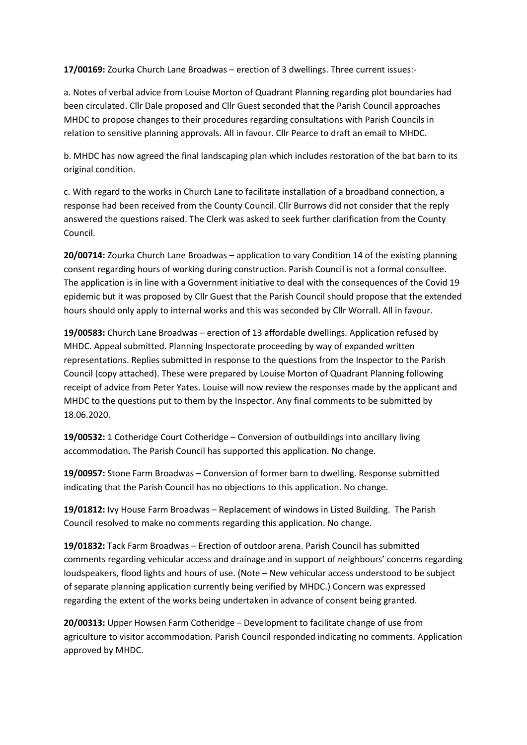**17/00169:** Zourka Church Lane Broadwas – erection of 3 dwellings. Three current issues:-

a. Notes of verbal advice from Louise Morton of Quadrant Planning regarding plot boundaries had been circulated. Cllr Dale proposed and Cllr Guest seconded that the Parish Council approaches MHDC to propose changes to their procedures regarding consultations with Parish Councils in relation to sensitive planning approvals. All in favour. Cllr Pearce to draft an email to MHDC.

b. MHDC has now agreed the final landscaping plan which includes restoration of the bat barn to its original condition.

c. With regard to the works in Church Lane to facilitate installation of a broadband connection, a response had been received from the County Council. Cllr Burrows did not consider that the reply answered the questions raised. The Clerk was asked to seek further clarification from the County Council.

**20/00714:** Zourka Church Lane Broadwas – application to vary Condition 14 of the existing planning consent regarding hours of working during construction. Parish Council is not a formal consultee. The application is in line with a Government initiative to deal with the consequences of the Covid 19 epidemic but it was proposed by Cllr Guest that the Parish Council should propose that the extended hours should only apply to internal works and this was seconded by Cllr Worrall. All in favour.

**19/00583:** Church Lane Broadwas – erection of 13 affordable dwellings. Application refused by MHDC. Appeal submitted. Planning Inspectorate proceeding by way of expanded written representations. Replies submitted in response to the questions from the Inspector to the Parish Council (copy attached). These were prepared by Louise Morton of Quadrant Planning following receipt of advice from Peter Yates. Louise will now review the responses made by the applicant and MHDC to the questions put to them by the Inspector. Any final comments to be submitted by 18.06.2020.

**19/00532:** 1 Cotheridge Court Cotheridge – Conversion of outbuildings into ancillary living accommodation. The Parish Council has supported this application. No change.

**19/00957:** Stone Farm Broadwas – Conversion of former barn to dwelling. Response submitted indicating that the Parish Council has no objections to this application. No change.

**19/01812:** Ivy House Farm Broadwas – Replacement of windows in Listed Building. The Parish Council resolved to make no comments regarding this application. No change.

**19/01832:** Tack Farm Broadwas – Erection of outdoor arena. Parish Council has submitted comments regarding vehicular access and drainage and in support of neighbours' concerns regarding loudspeakers, flood lights and hours of use. (Note – New vehicular access understood to be subject of separate planning application currently being verified by MHDC.) Concern was expressed regarding the extent of the works being undertaken in advance of consent being granted.

**20/00313:** Upper Howsen Farm Cotheridge – Development to facilitate change of use from agriculture to visitor accommodation. Parish Council responded indicating no comments. Application approved by MHDC.